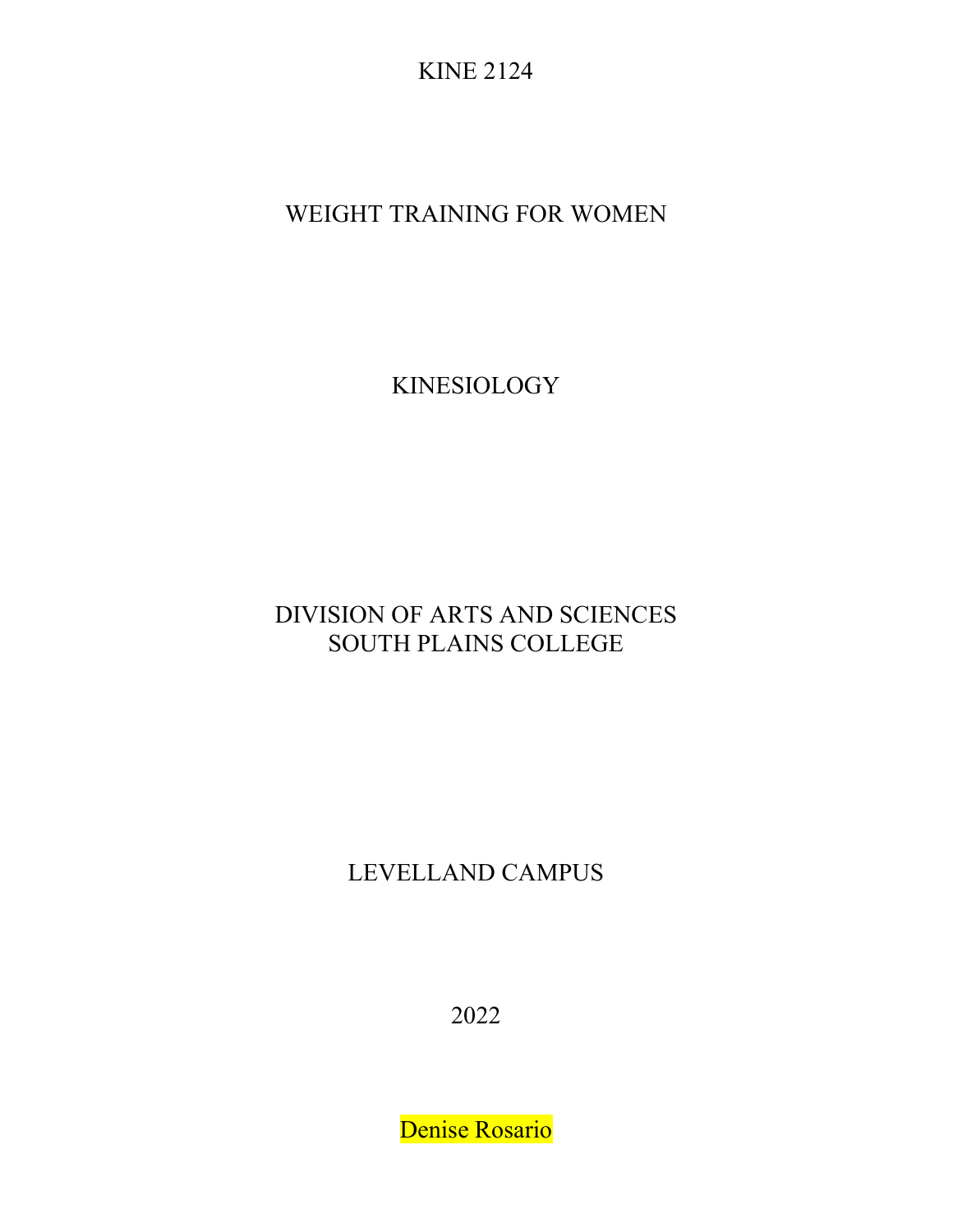KINE 2124

WEIGHT TRAINING FOR WOMEN

KINESIOLOGY

# DIVISION OF ARTS AND SCIENCES SOUTH PLAINS COLLEGE

LEVELLAND CAMPUS

2022

Denise Rosario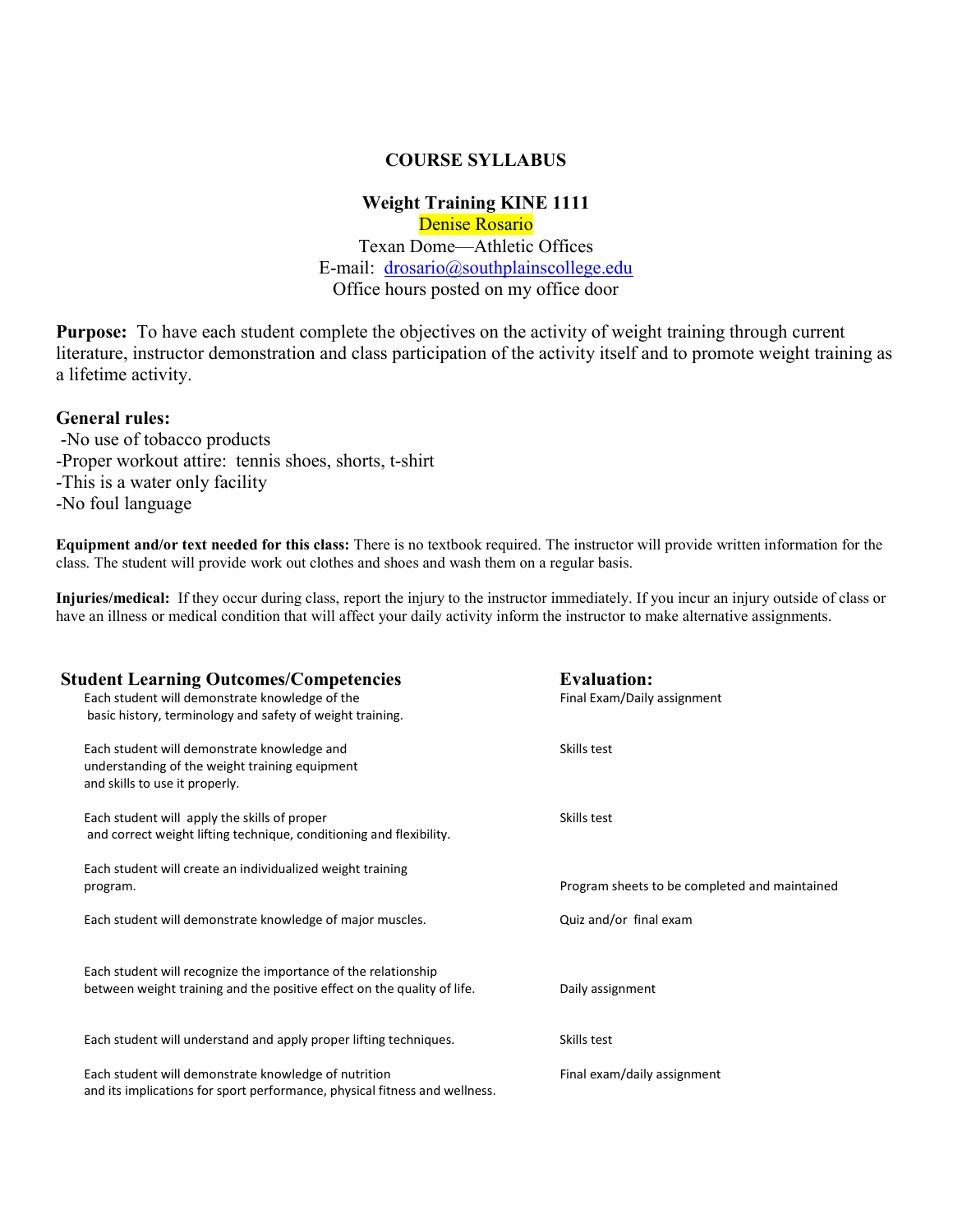#### COURSE SYLLABUS

#### Weight Training KINE 1111 Denise Rosario Texan Dome—Athletic Offices E-mail: drosario@southplainscollege.edu Office hours posted on my office door

Purpose: To have each student complete the objectives on the activity of weight training through current literature, instructor demonstration and class participation of the activity itself and to promote weight training as a lifetime activity.

#### General rules:

-No use of tobacco products -Proper workout attire: tennis shoes, shorts, t-shirt -This is a water only facility -No foul language

Equipment and/or text needed for this class: There is no textbook required. The instructor will provide written information for the class. The student will provide work out clothes and shoes and wash them on a regular basis.

Injuries/medical: If they occur during class, report the injury to the instructor immediately. If you incur an injury outside of class or have an illness or medical condition that will affect your daily activity inform the instructor to make alternative assignments.

| <b>Student Learning Outcomes/Competencies</b>                              | <b>Evaluation:</b>                            |
|----------------------------------------------------------------------------|-----------------------------------------------|
| Each student will demonstrate knowledge of the                             | Final Exam/Daily assignment                   |
| basic history, terminology and safety of weight training.                  |                                               |
| Each student will demonstrate knowledge and                                | Skills test                                   |
| understanding of the weight training equipment                             |                                               |
| and skills to use it properly.                                             |                                               |
| Each student will apply the skills of proper                               | Skills test                                   |
| and correct weight lifting technique, conditioning and flexibility.        |                                               |
| Each student will create an individualized weight training                 |                                               |
| program.                                                                   | Program sheets to be completed and maintained |
| Each student will demonstrate knowledge of major muscles.                  | Quiz and/or final exam                        |
|                                                                            |                                               |
|                                                                            |                                               |
| Each student will recognize the importance of the relationship             |                                               |
| between weight training and the positive effect on the quality of life.    | Daily assignment                              |
|                                                                            |                                               |
| Each student will understand and apply proper lifting techniques.          | Skills test                                   |
| Each student will demonstrate knowledge of nutrition                       | Final exam/daily assignment                   |
| and its implications for sport performance, physical fitness and wellness. |                                               |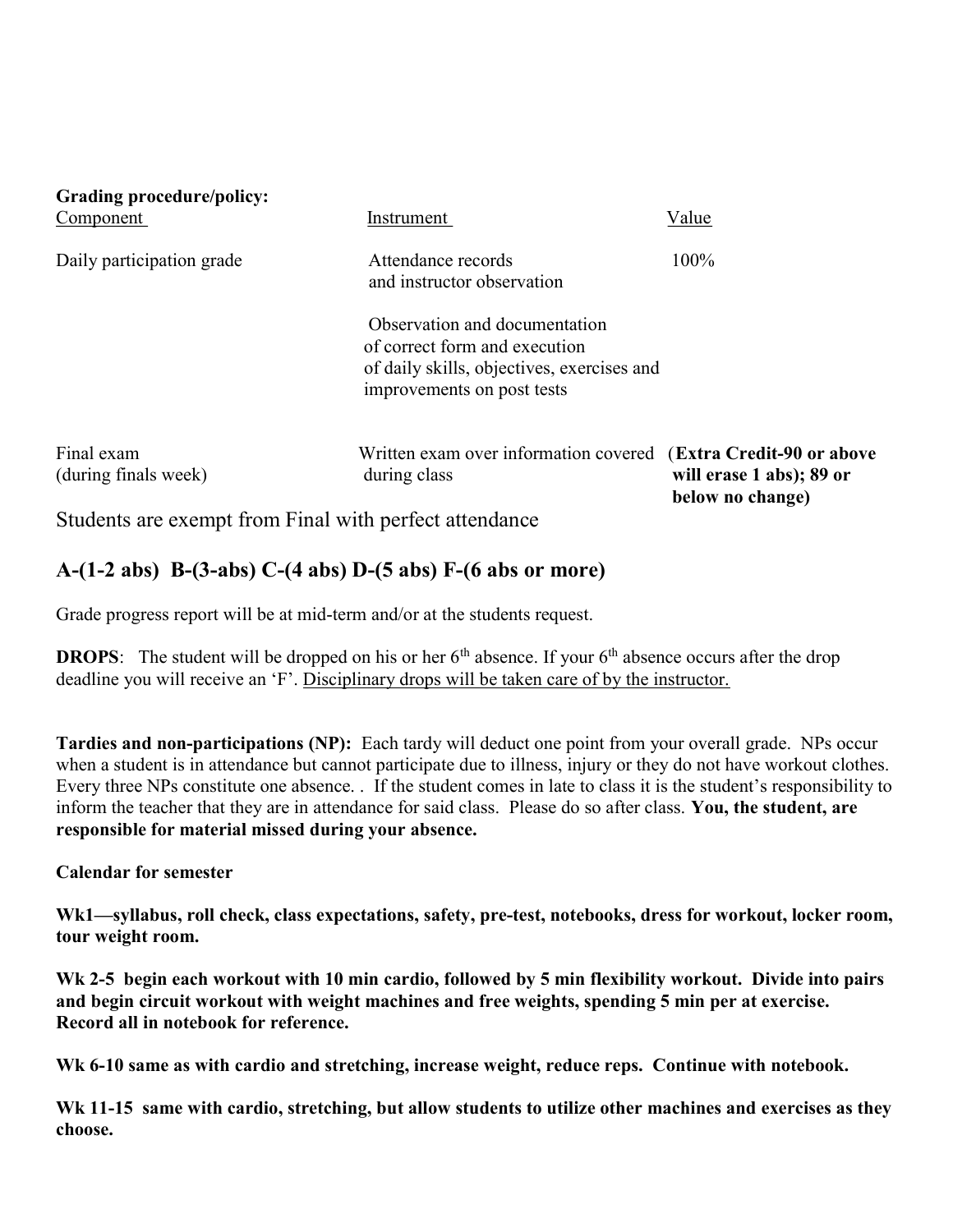| Grading procedure/policy:<br>Component                 | Instrument                                                                                                                                 | Value                                        |
|--------------------------------------------------------|--------------------------------------------------------------------------------------------------------------------------------------------|----------------------------------------------|
| Daily participation grade                              | Attendance records<br>and instructor observation                                                                                           | 100%                                         |
|                                                        | Observation and documentation<br>of correct form and execution<br>of daily skills, objectives, exercises and<br>improvements on post tests |                                              |
| Final exam<br>(during finals week)                     | Written exam over information covered (Extra Credit-90 or above<br>during class                                                            | will erase 1 abs); 89 or<br>below no change) |
| Students are exempt from Final with perfect attendance |                                                                                                                                            |                                              |

## A-(1-2 abs) B-(3-abs) C-(4 abs) D-(5 abs) F-(6 abs or more)

Grade progress report will be at mid-term and/or at the students request.

**DROPS:** The student will be dropped on his or her  $6<sup>th</sup>$  absence. If your  $6<sup>th</sup>$  absence occurs after the drop deadline you will receive an 'F'. Disciplinary drops will be taken care of by the instructor.

Tardies and non-participations (NP): Each tardy will deduct one point from your overall grade. NPs occur when a student is in attendance but cannot participate due to illness, injury or they do not have workout clothes. Every three NPs constitute one absence. . If the student comes in late to class it is the student's responsibility to inform the teacher that they are in attendance for said class. Please do so after class. You, the student, are responsible for material missed during your absence.

### Calendar for semester

Wk1—syllabus, roll check, class expectations, safety, pre-test, notebooks, dress for workout, locker room, tour weight room.

Wk 2-5 begin each workout with 10 min cardio, followed by 5 min flexibility workout. Divide into pairs and begin circuit workout with weight machines and free weights, spending 5 min per at exercise. Record all in notebook for reference.

Wk 6-10 same as with cardio and stretching, increase weight, reduce reps. Continue with notebook.

Wk 11-15 same with cardio, stretching, but allow students to utilize other machines and exercises as they choose.